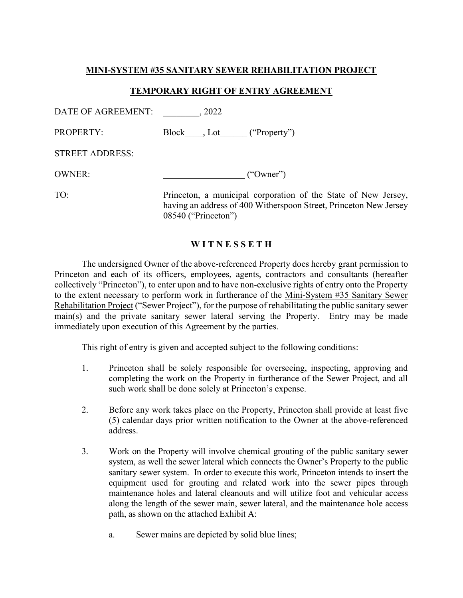# MINI-SYSTEM #35 SANITARY SEWER REHABILITATION PROJECT

## TEMPORARY RIGHT OF ENTRY AGREEMENT

| DATE OF AGREEMENT:     | .2022                                                          |
|------------------------|----------------------------------------------------------------|
| <b>PROPERTY:</b>       | Block , Lot ("Property")                                       |
| <b>STREET ADDRESS:</b> |                                                                |
| <b>OWNER:</b>          | ("Owner")                                                      |
| TO:                    | Princeton, a municipal corporation of the State of New Jersey, |

having an address of 400 Witherspoon Street, Princeton New Jersey 08540 ("Princeton")

### WITNESSETH

 The undersigned Owner of the above-referenced Property does hereby grant permission to Princeton and each of its officers, employees, agents, contractors and consultants (hereafter collectively "Princeton"), to enter upon and to have non-exclusive rights of entry onto the Property to the extent necessary to perform work in furtherance of the Mini-System #35 Sanitary Sewer Rehabilitation Project ("Sewer Project"), for the purpose of rehabilitating the public sanitary sewer main(s) and the private sanitary sewer lateral serving the Property. Entry may be made immediately upon execution of this Agreement by the parties.

This right of entry is given and accepted subject to the following conditions:

- 1. Princeton shall be solely responsible for overseeing, inspecting, approving and completing the work on the Property in furtherance of the Sewer Project, and all such work shall be done solely at Princeton's expense.
- 2. Before any work takes place on the Property, Princeton shall provide at least five (5) calendar days prior written notification to the Owner at the above-referenced address.
- 3. Work on the Property will involve chemical grouting of the public sanitary sewer system, as well the sewer lateral which connects the Owner's Property to the public sanitary sewer system. In order to execute this work, Princeton intends to insert the equipment used for grouting and related work into the sewer pipes through maintenance holes and lateral cleanouts and will utilize foot and vehicular access along the length of the sewer main, sewer lateral, and the maintenance hole access path, as shown on the attached Exhibit A:
	- a. Sewer mains are depicted by solid blue lines;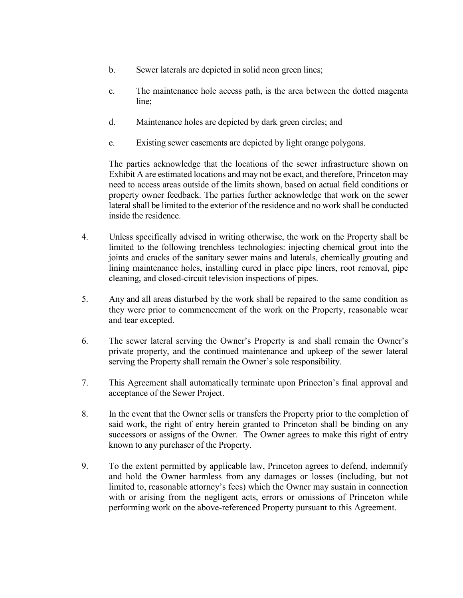- b. Sewer laterals are depicted in solid neon green lines;
- c. The maintenance hole access path, is the area between the dotted magenta line;
- d. Maintenance holes are depicted by dark green circles; and
- e. Existing sewer easements are depicted by light orange polygons.

The parties acknowledge that the locations of the sewer infrastructure shown on Exhibit A are estimated locations and may not be exact, and therefore, Princeton may need to access areas outside of the limits shown, based on actual field conditions or property owner feedback. The parties further acknowledge that work on the sewer lateral shall be limited to the exterior of the residence and no work shall be conducted inside the residence.

- 4. Unless specifically advised in writing otherwise, the work on the Property shall be limited to the following trenchless technologies: injecting chemical grout into the joints and cracks of the sanitary sewer mains and laterals, chemically grouting and lining maintenance holes, installing cured in place pipe liners, root removal, pipe cleaning, and closed-circuit television inspections of pipes.
- 5. Any and all areas disturbed by the work shall be repaired to the same condition as they were prior to commencement of the work on the Property, reasonable wear and tear excepted.
- 6. The sewer lateral serving the Owner's Property is and shall remain the Owner's private property, and the continued maintenance and upkeep of the sewer lateral serving the Property shall remain the Owner's sole responsibility.
- 7. This Agreement shall automatically terminate upon Princeton's final approval and acceptance of the Sewer Project.
- 8. In the event that the Owner sells or transfers the Property prior to the completion of said work, the right of entry herein granted to Princeton shall be binding on any successors or assigns of the Owner. The Owner agrees to make this right of entry known to any purchaser of the Property.
- 9. To the extent permitted by applicable law, Princeton agrees to defend, indemnify and hold the Owner harmless from any damages or losses (including, but not limited to, reasonable attorney's fees) which the Owner may sustain in connection with or arising from the negligent acts, errors or omissions of Princeton while performing work on the above-referenced Property pursuant to this Agreement.